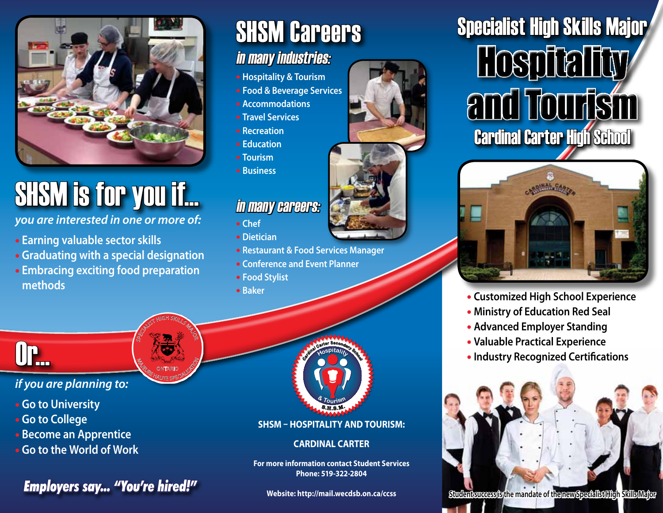

# SHSM is for you if...

*you are interested in one or more of:* 

- **Earning valuable sector skills**
- **Graduating with a special designation**
- **Embracing exciting food preparation methods**

SPECIALIST HIGH SKILLS MAJOR

**MAGE CONTARIO SPECIALISM** ONTARIO

## SHSM Careers

### in many industries:

- **Hospitality & Tourism**
- **Food & Beverage Services**
- **Accommodations**
- **Travel Services**
- **Recreation**
- **Education**
- **Tourism**
- **Business**

### in many careers:

- **Chef**
- **Dietician**
- **Restaurant & Food Services Manager**
- **Conference and Event Planner**
- **Food Stylist**
- **Baker**



#### *if you are planning to:*

- **Go to University**
- **Go to College**
- **Become an Apprentice**
- **Go to the World of Work**

### *Employers say... "You're hired!"*



**SHSM – Hospitality and Tourism:** 

#### **Cardinal Carter**

**For more information contact Student Services Phone: 519-322-2804**

**Website: http://mail.wecdsb.on.ca/ccss**





- **Customized High School Experience**
- **Ministry of Education Red Seal**
- **Advanced Employer Standing**
- **Valuable Practical Experience**
- **Industry Recognized Certifications**